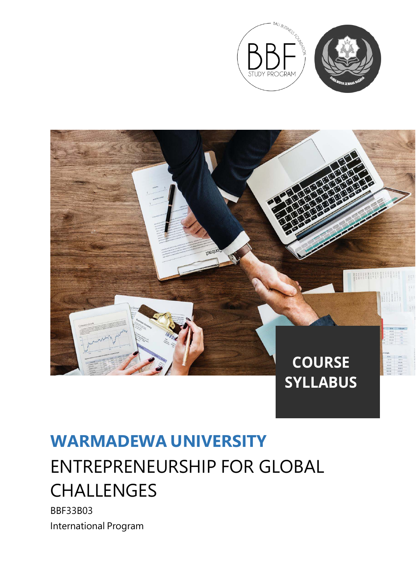



### **WARMADEWA UNIVERSITY**

# ENTREPRENEURSHIP FOR GLOBAL CHALLENGES

BBF33B03 International Program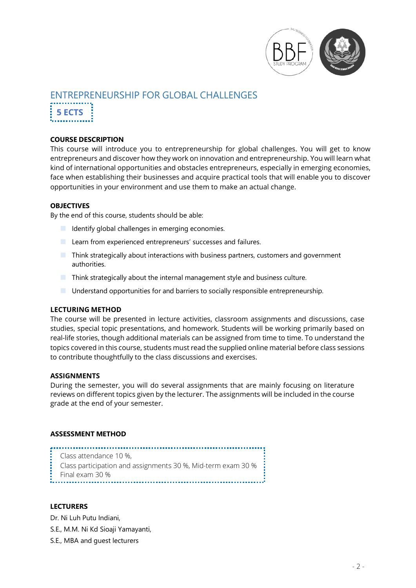

## ENTREPRENEURSHIP FOR GLOBAL CHALLENGES

**5 ECTS**

#### **COURSE DESCRIPTION**

This course will introduce you to entrepreneurship for global challenges. You will get to know entrepreneurs and discover how they work on innovation and entrepreneurship. You will learn what kind of international opportunities and obstacles entrepreneurs, especially in emerging economies, face when establishing their businesses and acquire practical tools that will enable you to discover opportunities in your environment and use them to make an actual change.

#### **OBJECTIVES**

By the end of this course, students should be able:

- $\blacksquare$  Identify global challenges in emerging economies.
- **Learn from experienced entrepreneurs' successes and failures.**
- Think strategically about interactions with business partners, customers and government authorities.
- $\blacksquare$  Think strategically about the internal management style and business culture.
- Understand opportunities for and barriers to socially responsible entrepreneurship.

#### **LECTURING METHOD**

The course will be presented in lecture activities, classroom assignments and discussions, case studies, special topic presentations, and homework. Students will be working primarily based on real-life stories, though additional materials can be assigned from time to time. To understand the topics covered in this course, students must read the supplied online material before class sessions to contribute thoughtfully to the class discussions and exercises.

#### **ASSIGNMENTS**

During the semester, you will do several assignments that are mainly focusing on literature reviews on different topics given by the lecturer. The assignments will be included in the course grade at the end of your semester.

#### **ASSESSMENT METHOD**

Class attendance 10 %, Class participation and assignments 30 %, Mid-term exam 30 % Final exam 30 %

#### **LECTURERS**

Dr. Ni Luh Putu Indiani,

- S.E., M.M. Ni Kd Sioaji Yamayanti,
- S.E., MBA and guest lecturers